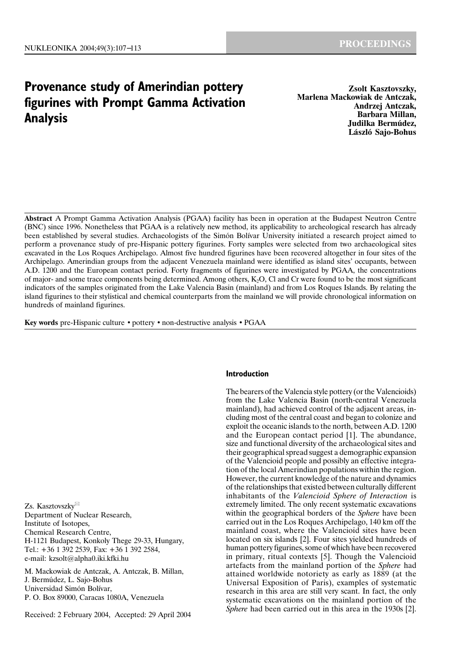# **Provenance study of Amerindian pottery figurines with Prompt Gamma Activation Analysis**

**Zsolt Kasztovszky, Marlena Mackowiak de Antczak, Andrzej Antczak, Barbara Millan, Judilka Bermúdez, László Sajo-Bohus**

**Abstract** A Prompt Gamma Activation Analysis (PGAA) facility has been in operation at the Budapest Neutron Centre (BNC) since 1996. Nonetheless that PGAA is a relatively new method, its applicability to archeological research has already been established by several studies. Archaeologists of the Simón Bolívar University initiated a research project aimed to perform a provenance study of pre-Hispanic pottery figurines. Forty samples were selected from two archaeological sites excavated in the Los Roques Archipelago. Almost five hundred figurines have been recovered altogether in four sites of the Archipelago. Amerindian groups from the adjacent Venezuela mainland were identified as island sites' occupants, between A.D. 1200 and the European contact period. Forty fragments of figurines were investigated by PGAA, the concentrations of major- and some trace components being determined. Among others, K2O, Cl and Cr were found to be the most significant indicators of the samples originated from the Lake Valencia Basin (mainland) and from Los Roques Islands. By relating the island figurines to their stylistical and chemical counterparts from the mainland we will provide chronological information on hundreds of mainland figurines.

**Key words** pre-Hispanic culture • pottery • non-destructive analysis • PGAA

Zs. Kasztovszky Department of Nuclear Research, Institute of Isotopes, Chemical Research Centre, H-1121 Budapest, Konkoly Thege 29-33, Hungary, Tel.: +36 1 392 2539, Fax: +36 1 392 2584, e-mail: kzsolt@alpha0.iki.kfki.hu

M. Mackowiak de Antczak, A. Antczak, B. Millan, J. Bermúdez, L. Sajo-Bohus Universidad Simón Bolívar, P. O. Box 89000, Caracas 1080A, Venezuela

Received: 2 February 2004, Accepted: 29 April 2004

# **Introduction**

The bearers of the Valencia style pottery (or the Valencioids) from the Lake Valencia Basin (north-central Venezuela mainland), had achieved control of the adjacent areas, including most of the central coast and began to colonize and exploit the oceanic islands to the north, between A.D. 1200 and the European contact period [1]. The abundance, size and functional diversity of the archaeological sites and their geographical spread suggest a demographic expansion of the Valencioid people and possibly an effective integration of the local Amerindian populations within the region. However, the current knowledge of the nature and dynamics of the relationships that existed between culturally different inhabitants of the *Valencioid Sphere of Interaction* is extremely limited. The only recent systematic excavations within the geographical borders of the *Sphere* have been carried out in the Los Roques Archipelago, 140 km off the mainland coast, where the Valencioid sites have been located on six islands [2]. Four sites yielded hundreds of human pottery figurines, some of which have been recovered in primary, ritual contexts [5]. Though the Valencioid artefacts from the mainland portion of the *Sphere* had attained worldwide notoriety as early as 1889 (at the Universal Exposition of Paris), examples of systematic research in this area are still very scant. In fact, the only systematic excavations on the mainland portion of the *Sphere* had been carried out in this area in the 1930s [2].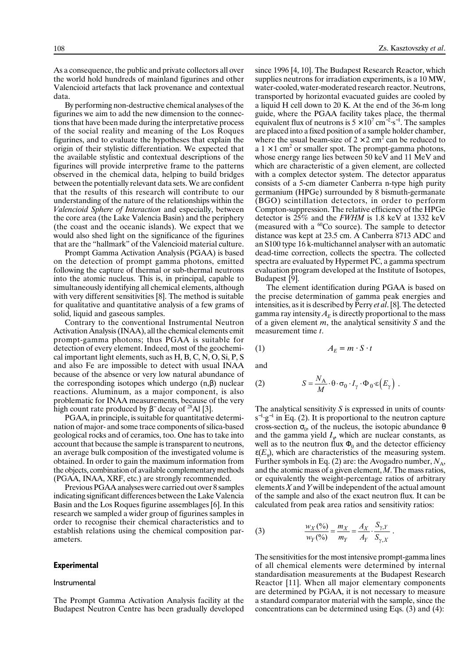As a consequence, the public and private collectors all over the world hold hundreds of mainland figurines and other Valencioid artefacts that lack provenance and contextual data.

By performing non-destructive chemical analyses of the figurines we aim to add the new dimension to the connections that have been made during the interpretative process of the social reality and meaning of the Los Roques figurines, and to evaluate the hypotheses that explain the origin of their stylistic differentiation. We expected that the available stylistic and contextual descriptions of the figurines will provide interpretive frame to the patterns observed in the chemical data, helping to build bridges between the potentially relevant data sets. We are confident that the results of this research will contribute to our understanding of the nature of the relationships within the *Valencioid Sphere of Interaction* and especially, between the core area (the Lake Valencia Basin) and the periphery (the coast and the oceanic islands). We expect that we would also shed light on the significance of the figurines that are the "hallmark" of the Valencioid material culture.

Prompt Gamma Activation Analysis (PGAA) is based on the detection of prompt gamma photons, emitted following the capture of thermal or sub-thermal neutrons into the atomic nucleus. This is, in principal, capable to simultaneously identifying all chemical elements, although with very different sensitivities [8]. The method is suitable for qualitative and quantitative analysis of a few grams of solid, liquid and gaseous samples.

Contrary to the conventional Instrumental Neutron Activation Analysis (INAA), all the chemical elements emit prompt-gamma photons; thus PGAA is suitable for detection of every element. Indeed, most of the geochemical important light elements, such as H, B, C, N, O, Si, P, S and also Fe are impossible to detect with usual INAA because of the absence or very low natural abundance of the corresponding isotopes which undergo  $(n, \beta)$  nuclear reactions. Aluminum, as a major component, is also problematic for INAA measurements, because of the very high count rate produced by  $\beta^-$  decay of <sup>28</sup>Al [3].

PGAA, in principle, is suitable for quantitative determination of major- and some trace components of silica-based geological rocks and of ceramics, too. One has to take into account that because the sample is transparent to neutrons, an average bulk composition of the investigated volume is obtained. In order to gain the maximum information from the objects, combination of available complementary methods (PGAA, INAA, XRF, etc.) are strongly recommended.

Previous PGAA analyses were carried out over 8 samples indicating significant differences between the Lake Valencia Basin and the Los Roques figurine assemblages [6]. In this research we sampled a wider group of figurines samples in order to recognise their chemical characteristics and to establish relations using the chemical composition parameters.

# **Experimental**

# Instrumental

The Prompt Gamma Activation Analysis facility at the Budapest Neutron Centre has been gradually developed since 1996 [4, 10]. The Budapest Research Reactor, which supplies neutrons for irradiation experiments, is a 10 MW, water-cooled, water-moderated research reactor. Neutrons, transported by horizontal evacuated guides are cooled by a liquid H cell down to 20 K. At the end of the 36-m long guide, where the PGAA facility takes place, the thermal equivalent flux of neutrons is  $5 \times 10^7$  cm<sup>-2</sup>·s<sup>-1</sup>. The samples are placed into a fixed position of a sample holder chamber, where the usual beam-size of  $2 \times 2$  cm<sup>2</sup> can be reduced to a  $1 \times 1$  cm<sup>2</sup> or smaller spot. The prompt-gamma photons, whose energy range lies between 50 keV and 11 MeV and which are characteristic of a given element, are collected with a complex detector system. The detector apparatus consists of a 5-cm diameter Canberra n-type high purity germanium (HPGe) surrounded by 8 bismuth-germanate (BGO) scintillation detectors, in order to perform Compton-suppression. The relative efficiency of the HPGe detector is 25% and the *FWHM* is 1.8 keV at 1332 keV (measured with a  ${}^{60}Co$  source). The sample to detector distance was kept at 23.5 cm. A Canberra 8713 ADC and an S100 type 16 k-multichannel analyser with an automatic dead-time correction, collects the spectra. The collected spectra are evaluated by Hypermet PC, a gamma spectrum evaluation program developed at the Institute of Isotopes, Budapest [9].

The element identification during PGAA is based on the precise determination of gamma peak energies and intensities, as it is described by Perry *et al*. [8]. The detected gamma ray intensity  $A_E$  is directly proportional to the mass of a given element *m*, the analytical sensitivity *S* and the measurement time *t*.

$$
(1) \t A_E = m \cdot S \cdot t
$$

and

(2) 
$$
S = \frac{N_A}{M} \cdot \theta \cdot \sigma_0 \cdot I_\gamma \cdot \Phi_0 \cdot \varepsilon (E_\gamma).
$$

The analytical sensitivity *S* is expressed in units of counts·  $s^{-1}$  g<sup>-1</sup> in Eq. (2). It is proportional to the neutron capture cross-section  $\sigma_0$ , of the nucleus, the isotopic abundance  $\theta$ and the gamma yield  $I_{\varphi}$  which are nuclear constants, as well as to the neutron flux  $\Phi_0$  and the detector efficiency  $\varepsilon(E_{\gamma})$ , which are characteristics of the measuring system. Further symbols in Eq. (2) are: the Avogadro number,  $N_A$ , and the atomic mass of a given element, *M*. The mass ratios, or equivalently the weight-percentage ratios of arbitrary elements *X* and *Y* will be independent of the actual amount of the sample and also of the exact neutron flux. It can be calculated from peak area ratios and sensitivity ratios:

(3) 
$$
\frac{w_X(\%)}{w_Y(\%)} = \frac{m_X}{m_Y} = \frac{A_X}{A_Y} \cdot \frac{S_{\gamma, Y}}{S_{\gamma, X}}.
$$

The sensitivities for the most intensive prompt-gamma lines of all chemical elements were determined by internal standardisation measurements at the Budapest Research Reactor [11]. When all major elementary components are determined by PGAA, it is not necessary to measure a standard comparator material with the sample, since the concentrations can be determined using Eqs. (3) and (4):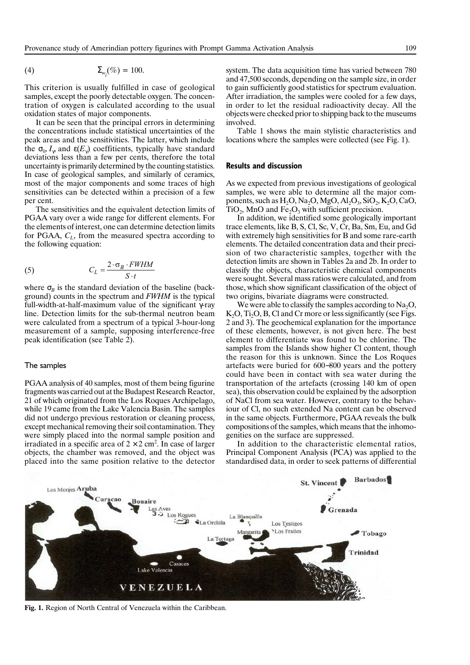$$
\Sigma_{w_i}(\%) = 100.
$$

This criterion is usually fulfilled in case of geological samples, except the poorly detectable oxygen. The concentration of oxygen is calculated according to the usual oxidation states of major components.

It can be seen that the principal errors in determining the concentrations include statistical uncertainties of the peak areas and the sensitivities. The latter, which include the  $\sigma_0$ ,  $I_\gamma$  and  $\varepsilon(E_\gamma)$  coeffitients, typically have standard deviations less than a few per cents, therefore the total uncertainty is primarily determined by the counting statistics. In case of geological samples, and similarly of ceramics, most of the major components and some traces of high sensitivities can be detected within a precision of a few per cent.

The sensitivities and the equivalent detection limits of PGAA vary over a wide range for different elements. For the elements of interest, one can determine detection limits for PGAA,  $C_L$ , from the measured spectra according to the following equation:

(5) 
$$
C_L = \frac{2 \cdot \sigma_B \cdot FWHM}{S \cdot t}
$$

where  $\sigma_B$  is the standard deviation of the baseline (background) counts in the spectrum and *FWHM* is the typical full-width-at-half-maximum value of the significant γ-ray line. Detection limits for the sub-thermal neutron beam were calculated from a spectrum of a typical 3-hour-long measurement of a sample, supposing interference-free peak identification (see Table 2).

#### The samples

PGAA analysis of 40 samples, most of them being figurine fragments was carried out at the Budapest Research Reactor, 21 of which originated from the Los Roques Archipelago, while 19 came from the Lake Valencia Basin. The samples did not undergo previous restoration or cleaning process, except mechanical removing their soil contamination. They were simply placed into the normal sample position and irradiated in a specific area of  $2 \times 2$  cm<sup>2</sup>. In case of larger objects, the chamber was removed, and the object was placed into the same position relative to the detector system. The data acquisition time has varied between 780 and 47,500 seconds, depending on the sample size, in order to gain sufficiently good statistics for spectrum evaluation. After irradiation, the samples were cooled for a few days, in order to let the residual radioactivity decay. All the objects were checked prior to shipping back to the museums involved.

Table 1 shows the main stylistic characteristics and locations where the samples were collected (see Fig. 1).

# **Results and discussion**

As we expected from previous investigations of geological samples, we were able to determine all the major components, such as  $H_2O$ , Na<sub>2</sub>O, MgO, Al<sub>2</sub>O<sub>3</sub>, SiO<sub>2</sub>, K<sub>2</sub>O, CaO,  $TiO<sub>2</sub>$ , MnO and Fe<sub>2</sub>O<sub>3</sub> with sufficient precision.

In addition, we identified some geologically important trace elements, like B, S, Cl, Sc, V, Cr, Ba, Sm, Eu, and Gd with extremely high sensitivities for B and some rare-earth elements. The detailed concentration data and their precision of two characteristic samples, together with the detection limits are shown in Tables 2a and 2b. In order to classify the objects, characteristic chemical components were sought. Several mass ratios were calculated, and from those, which show significant classification of the object of two origins, bivariate diagrams were constructed.

We were able to classify the samples according to  $Na<sub>2</sub>O$ ,  $K<sub>2</sub>O$ ,  $Ti<sub>2</sub>O$ ,  $B$ ,  $C1$  and  $Cr$  more or less significantly (see Figs. 2 and 3). The geochemical explanation for the importance of these elements, however, is not given here. The best element to differentiate was found to be chlorine. The samples from the Islands show higher Cl content, though the reason for this is unknown. Since the Los Roques artefacts were buried for 600−800 years and the pottery could have been in contact with sea water during the transportation of the artefacts (crossing 140 km of open sea), this observation could be explained by the adsorption of NaCl from sea water. However, contrary to the behaviour of Cl, no such extended Na content can be observed in the same objects. Furthermore, PGAA reveals the bulk compositions of the samples, which means that the inhomogenities on the surface are suppressed.

In addition to the characteristic elemental ratios, Principal Component Analysis (PCA) was applied to the standardised data, in order to seek patterns of differential



**Fig. 1.** Region of North Central of Venezuela within the Caribbean.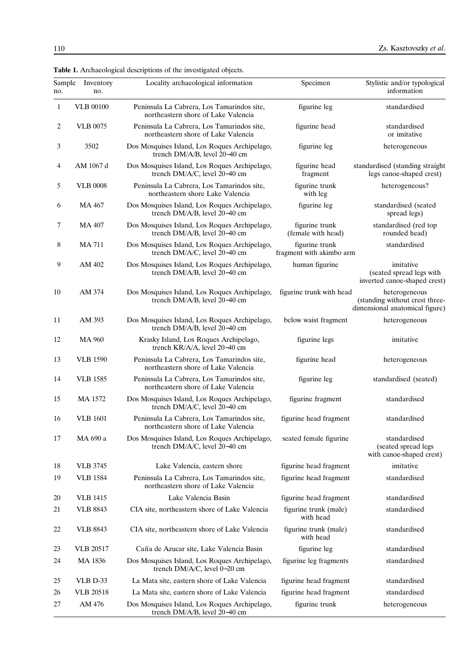| Sample<br>no. | Inventory<br>no. | Locality archaeological information                                               | Specimen                                   | Stylistic and/or typological<br>information                                       |
|---------------|------------------|-----------------------------------------------------------------------------------|--------------------------------------------|-----------------------------------------------------------------------------------|
| 1             | <b>VLB 00100</b> | Peninsula La Cabrera, Los Tamarindos site,<br>northeastern shore of Lake Valencia | figurine leg                               | standardised                                                                      |
| 2             | <b>VLB 0075</b>  | Peninsula La Cabrera, Los Tamarindos site,<br>northeastern shore of Lake Valencia | figurine head                              | standardised<br>or imitative                                                      |
| 3             | 3502             | Dos Mosquises Island, Los Roques Archipelago,<br>trench DM/A/B, level 20-40 cm    | figurine leg                               | heterogeneous                                                                     |
| 4             | AM 1067 d        | Dos Mosquises Island, Los Roques Archipelago,<br>trench DM/A/C, level 20-40 cm    | figurine head<br>fragment                  | standardised (standing straight<br>legs canoe-shaped crest)                       |
| 5             | <b>VLB 0008</b>  | Peninsula La Cabrera, Los Tamarindos site,<br>northeastern shore Lake Valencia    | figurine trunk<br>with leg                 | heterogeneous?                                                                    |
| 6             | MA 467           | Dos Mosquises Island, Los Roques Archipelago,<br>trench DM/A/B, level 20–40 cm    | figurine leg                               | standardised (seated<br>spread legs)                                              |
| 7             | <b>MA 407</b>    | Dos Mosquises Island, Los Roques Archipelago,<br>trench DM/A/B, level 20–40 cm    | figurine trunk<br>(female with head)       | standardised (red top<br>rounded head)                                            |
| 8             | <b>MA711</b>     | Dos Mosquises Island, Los Roques Archipelago,<br>trench DM/A/C, level 20-40 cm    | figurine trunk<br>fragment with akimbo arm | standardised                                                                      |
| 9             | AM 402           | Dos Mosquises Island, Los Roques Archipelago,<br>trench DM/A/B, level 20-40 cm    | human figurine                             | imitative<br>(seated spread legs with<br>inverted canoe-shaped crest)             |
| 10            | AM 374           | Dos Mosquises Island, Los Roques Archipelago,<br>trench DM/A/B, level 20-40 cm    | figurine trunk with head                   | heterogeneous<br>(standing without crest three-<br>dimensional anatomical figure) |
| 11            | AM 393           | Dos Mosquises Island, Los Roques Archipelago,<br>trench DM/A/B, level 20-40 cm    | below waist fragment                       | heterogeneous                                                                     |
| 12            | <b>MA 960</b>    | Krasky Island, Los Roques Archipelago,<br>trench KR/A/A, level 20-40 cm           | figurine legs                              | imitative                                                                         |
| 13            | <b>VLB</b> 1590  | Peninsula La Cabrera, Los Tamarindos site,<br>northeastern shore of Lake Valencia | figurine head                              | heterogeneous                                                                     |
| 14            | <b>VLB</b> 1585  | Peninsula La Cabrera, Los Tamarindos site,<br>northeastern shore of Lake Valencia | figurine leg                               | standardised (seated)                                                             |
| 15            | MA 1572          | Dos Mosquises Island, Los Roques Archipelago,<br>trench DM/A/C, level 20-40 cm    | figurine fragment                          | standardised                                                                      |
| 16            | <b>VLB</b> 1601  | Peninsula La Cabrera, Los Tamarindos site,<br>northeastern shore of Lake Valencia | figurine head fragment                     | standardised                                                                      |
| 17            | MA 690 a         | Dos Mosquises Island, Los Roques Archipelago,<br>trench DM/A/C, level 20-40 cm    | seated female figurine                     | standardised<br>(seated spread legs<br>with canoe-shaped crest)                   |
| 18            | <b>VLB 3745</b>  | Lake Valencia, eastern shore                                                      | figurine head fragment                     | imitative                                                                         |
| 19            | <b>VLB</b> 1584  | Peninsula La Cabrera, Los Tamarindos site,<br>northeastern shore of Lake Valencia | figurine head fragment                     | standardised                                                                      |
| 20            | <b>VLB</b> 1415  | Lake Valencia Basin                                                               | figurine head fragment                     | standardised                                                                      |
| 21            | <b>VLB 8843</b>  | CIA site, northeastern shore of Lake Valencia                                     | figurine trunk (male)<br>with head         | standardised                                                                      |
| 22            | <b>VLB 8843</b>  | CIA site, northeastern shore of Lake Valencia                                     | figurine trunk (male)<br>with head         | standardised                                                                      |
| 23            | <b>VLB 20517</b> | Caña de Azucar site, Lake Valencia Basin                                          | figurine leg                               | standardised                                                                      |
| 24            | MA 1836          | Dos Mosquises Island, Los Roques Archipelago,<br>trench DM/A/C, level 0-20 cm     | figurine leg fragments                     | standardised                                                                      |
| 25            | VLB D-33         | La Mata site, eastern shore of Lake Valencia                                      | figurine head fragment                     | standardised                                                                      |
| 26            | <b>VLB</b> 20518 | La Mata site, eastern shore of Lake Valencia                                      | figurine head fragment                     | standardised                                                                      |

27 AM 476 Dos Mosquises Island, Los Roques Archipelago, figurine trunk heterogeneous

trench DM/A/B, level 20−40 cm

**Table 1.** Archaeological descriptions of the investigated objects.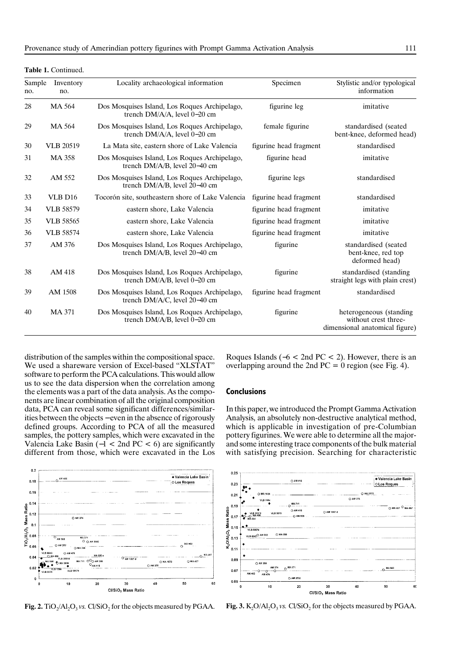| Sample<br>no. | Inventory<br>no.    | Locality archaeological information                                                | Specimen               | Stylistic and/or typological<br>information                                        |
|---------------|---------------------|------------------------------------------------------------------------------------|------------------------|------------------------------------------------------------------------------------|
| 28            | MA 564              | Dos Mosquises Island, Los Roques Archipelago,<br>trench DM/A/A, level 0-20 cm      | figurine leg           | imitative                                                                          |
| 29            | MA 564              | Dos Mosquises Island, Los Roques Archipelago,<br>trench DM/A/A, level 0-20 cm      | female figurine        | standardised (seated<br>bent-knee, deformed head)                                  |
| 30            | <b>VLB 20519</b>    | La Mata site, eastern shore of Lake Valencia                                       | figurine head fragment | standardised                                                                       |
| 31            | <b>MA 358</b>       | Dos Mosquises Island, Los Roques Archipelago,<br>trench DM/A/B, level 20–40 cm     | figurine head          | imitative                                                                          |
| 32            | AM 552              | Dos Mosquises Island, Los Roques Archipelago,<br>trench DM/A/B, level 20–40 cm     | figurine legs          | standardised                                                                       |
| 33            | VLB D <sub>16</sub> | Tocorón site, southeastern shore of Lake Valencia                                  | figurine head fragment | standardised                                                                       |
| 34            | <b>VLB</b> 58579    | eastern shore, Lake Valencia                                                       | figurine head fragment | imitative                                                                          |
| 35            | <b>VLB</b> 58565    | eastern shore, Lake Valencia                                                       | figurine head fragment | imitative                                                                          |
| 36            | <b>VLB</b> 58574    | eastern shore, Lake Valencia                                                       | figurine head fragment | imitative                                                                          |
| 37            | AM 376              | Dos Mosquises Island, Los Roques Archipelago,<br>trench DM/A/B, level 20-40 cm     | figurine               | standardised (seated<br>bent-knee, red top<br>deformed head)                       |
| 38            | AM 418              | Dos Mosquises Island, Los Roques Archipelago,<br>trench $DM/A/B$ , level $0-20$ cm | figurine               | standardised (standing<br>straight legs with plain crest)                          |
| 39            | AM 1508             | Dos Mosquises Island, Los Roques Archipelago,<br>trench DM/A/C, level 20-40 cm     | figurine head fragment | standardised                                                                       |
| 40            | MA 371              | Dos Mosquises Island, Los Roques Archipelago,<br>trench $DM/A/B$ , level $0-20$ cm | figurine               | heterogeneous (standing)<br>without crest three-<br>dimensional anatomical figure) |

**Table 1.** Continued.

distribution of the samples within the compositional space. We used a shareware version of Excel-based "XLSTAT" software to perform the PCA calculations. This would allow us to see the data dispersion when the correlation among the elements was a part of the data analysis. As the components are linear combination of all the original composition data, PCA can reveal some significant differences/similarities between the objects − even in the absence of rigorously defined groups. According to PCA of all the measured samples, the pottery samples, which were excavated in the Valencia Lake Basin ( $-1$  < 2nd PC < 6) are significantly different from those, which were excavated in the Los

Roques Islands ( $-6 < 2$ nd PC < 2). However, there is an overlapping around the 2nd  $PC = 0$  region (see Fig. 4).

# **Conclusions**

In this paper, we introduced the Prompt Gamma Activation Analysis, an absolutely non-destructive analytical method, which is applicable in investigation of pre-Columbian pottery figurines. We were able to determine all the majorand some interesting trace components of the bulk material with satisfying precision. Searching for characteristic





**Fig. 2.** TiO<sub>2</sub>/Al<sub>2</sub>O<sub>3</sub> *vs.* Cl/SiO<sub>2</sub> for the objects measured by PGAA. **Fig. 3.** K<sub>2</sub>O/Al<sub>2</sub>O<sub>3</sub> *vs.* Cl/SiO<sub>2</sub> for the objects measured by PGAA.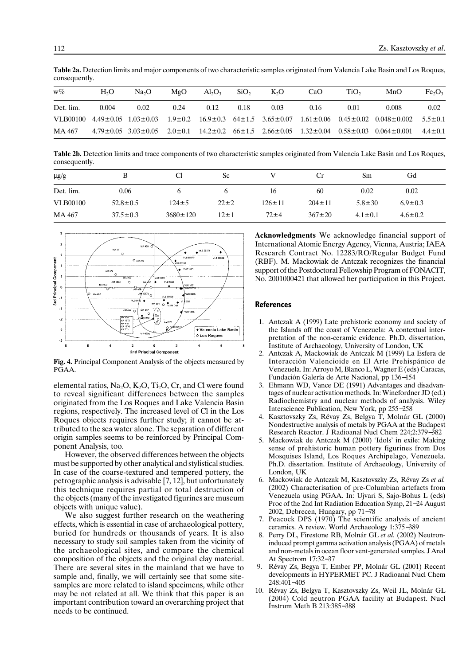| $w\%$     | H <sub>2</sub> O | Na <sub>2</sub> O | MgO  | $Al_2O_3$ | SiO <sub>2</sub> | $K_2O$ | CaO  | TiO, | MnO                                                                                                                                         | Fe <sub>2</sub> O <sub>3</sub> |
|-----------|------------------|-------------------|------|-----------|------------------|--------|------|------|---------------------------------------------------------------------------------------------------------------------------------------------|--------------------------------|
| Det. lim. | 0.004            | 0.02              | 0.24 | 0.12      | 0.18             | 0.03   | 0.16 | 0.01 | 0.008                                                                                                                                       | 0.02                           |
|           |                  |                   |      |           |                  |        |      |      | VLB00100 4.49±0.05 1.03±0.03 1.9±0.2 16.9±0.3 64±1.5 3.65±0.07 1.61±0.06 0.45±0.02 0.048±0.002                                              | $5.5 \pm 0.1$                  |
| MA 467    |                  |                   |      |           |                  |        |      |      | $4.79 \pm 0.05$ $3.03 \pm 0.05$ $2.0 \pm 0.1$ $14.2 \pm 0.2$ $66 \pm 1.5$ $2.66 \pm 0.05$ $1.32 \pm 0.04$ $0.58 \pm 0.03$ $0.064 \pm 0.001$ | $4.4 \pm 0.1$                  |

**Table 2a.** Detection limits and major components of two characteristic samples originated from Valencia Lake Basin and Los Roques, consequently.

**Table 2b.** Detection limits and trace components of two characteristic samples originated from Valencia Lake Basin and Los Roques, consequently.

| $\mu$ g/g       |                | Cl             | Sc         |              |              | Sm            | Gd            |  |
|-----------------|----------------|----------------|------------|--------------|--------------|---------------|---------------|--|
| Det. lim.       | 0.06           |                |            | 16           | 60           | 0.02          | 0.02          |  |
| <b>VLB00100</b> | $52.8 \pm 0.5$ | $124 \pm 5$    | $22 \pm 2$ | $126 \pm 11$ | $204 \pm 11$ | $5.8 \pm 30$  | $6.9 \pm 0.3$ |  |
| MA 467          | $37.5 \pm 0.3$ | $3680 \pm 120$ | $12 \pm 1$ | $72\pm4$     | $367 \pm 20$ | $4.1 \pm 0.1$ | $4.6 \pm 0.2$ |  |



**Fig. 4.** Principal Component Analysis of the objects measured by PGAA.

elemental ratios,  $Na_2O$ ,  $K_2O$ ,  $Ti_2O$ ,  $Cr$ , and Cl were found to reveal significant differences between the samples originated from the Los Roques and Lake Valencia Basin regions, respectively. The increased level of Cl in the Los Roques objects requires further study; it cannot be attributed to the sea water alone. The separation of different origin samples seems to be reinforced by Principal Component Analysis, too.

However, the observed differences between the objects must be supported by other analytical and stylistical studies. In case of the coarse-textured and tempered pottery, the petrographic analysis is advisable [7, 12], but unfortunately this technique requires partial or total destruction of the objects (many of the investigated figurines are museum objects with unique value).

We also suggest further research on the weathering effects, which is essential in case of archaeological pottery, buried for hundreds or thousands of years. It is also necessary to study soil samples taken from the vicinity of the archaeological sites, and compare the chemical composition of the objects and the original clay material. There are several sites in the mainland that we have to sample and, finally, we will certainly see that some sitesamples are more related to island specimens, while other may be not related at all. We think that this paper is an important contribution toward an overarching project that needs to be continued.

**Acknowledgments** We acknowledge financial support of International Atomic Energy Agency, Vienna, Austria; IAEA Research Contract No. 12283/RO/Regular Budget Fund (RBF). M. Mackowiak de Antczak recognizes the financial support of the Postdoctoral Fellowship Program of FONACIT, No. 2001000421 that allowed her participation in this Project.

# **References**

- 1. Antczak A (1999) Late prehistoric economy and society of the Islands off the coast of Venezuela: A contextual interpretation of the non-ceramic evidence. Ph.D. dissertation, Institute of Archaeology, University of London, UK
- 2. Antczak A, Mackowiak de Antczak M (1999) La Esfera de Interacción Valencioide en El Arte Prehispánico de Venezuela. In: Arroyo M, Blanco L, Wagner E (eds) Caracas, Fundación Galería de Arte Nacional, pp 136−154
- Ehmann WD, Vance DE (1991) Advantages and disadvantages of nuclear activation methods. In: Winefordner JD (ed.) Radiochemistry and nuclear methods of analysis. Wiley Interscience Publication, New York, pp 255−258
- 4. Kasztovszky Zs, Révay Zs, Belgya T, Molnár GL (2000) Nondestructive analysis of metals by PGAA at the Budapest Research Reactor. J Radioanal Nucl Chem 224;2:379−382
- 5. Mackowiak de Antczak M (2000) 'Idols' in exile: Making sense of prehistoric human pottery figurines from Dos Mosquises Island, Los Roques Archipelago, Venezuela. Ph.D. dissertation. Institute of Archaeology, University of London, UK
- 6. Mackowiak de Antczak M, Kasztovszky Zs, Révay Zs *et al.* (2002) Characterisation of pre-Columbian artefacts from Venezuela using PGAA. In: Ujvari S, Sajo-Bohus L (eds) Proc of the 2nd Int Radiation Education Symp, 21−24 August 2002, Debrecen, Hungary, pp 71−78
- 7. Peacock DPS (1970) The scientific analysis of ancient ceramics. A review. World Archaeology 1:375−389
- 8. Perry DL, Firestone RB, Molnár GL *et al.* (2002) Neutroninduced prompt gamma activation analysis (PGAA) of metals and non-metals in ocean floor vent-generated samples. J Anal At Spectrom 17:32−37
- 9. Révay Zs, Begya T, Ember PP, Molnár GL (2001) Recent developments in HYPERMET PC. J Radioanal Nucl Chem 248:401−405
- 10. Révay Zs, Belgya T, Kasztovszky Zs, Weil JL, Molnár GL (2004) Cold neutron PGAA facility at Budapest. Nucl Instrum Meth B 213:385−388